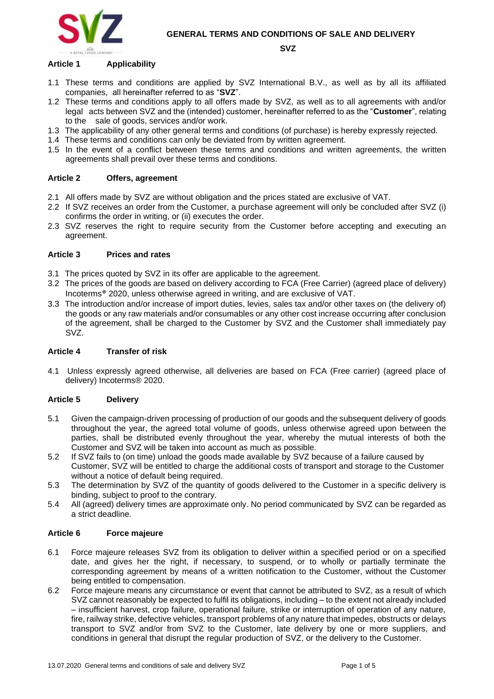



#### **SVZ**

#### **Article 1 Applicability**

- 1.1 These terms and conditions are applied by SVZ International B.V., as well as by all its affiliated companies, all hereinafter referred to as "**SVZ**".
- 1.2 These terms and conditions apply to all offers made by SVZ, as well as to all agreements with and/or legal acts between SVZ and the (intended) customer, hereinafter referred to as the "**Customer**", relating to the sale of goods, services and/or work.
- 1.3 The applicability of any other general terms and conditions (of purchase) is hereby expressly rejected.
- 1.4 These terms and conditions can only be deviated from by written agreement.
- 1.5 In the event of a conflict between these terms and conditions and written agreements, the written agreements shall prevail over these terms and conditions.

### **Article 2 Offers, agreement**

- 2.1 All offers made by SVZ are without obligation and the prices stated are exclusive of VAT.
- 2.2 If SVZ receives an order from the Customer, a purchase agreement will only be concluded after SVZ (i) confirms the order in writing, or (ii) executes the order.
- 2.3 SVZ reserves the right to require security from the Customer before accepting and executing an agreement.

#### **Article 3 Prices and rates**

- 3.1 The prices quoted by SVZ in its offer are applicable to the agreement.
- 3.2 The prices of the goods are based on delivery according to FCA (Free Carrier) (agreed place of delivery) Incoterms® 2020, unless otherwise agreed in writing, and are exclusive of VAT.
- 3.3 The introduction and/or increase of import duties, levies, sales tax and/or other taxes on (the delivery of) the goods or any raw materials and/or consumables or any other cost increase occurring after conclusion of the agreement, shall be charged to the Customer by SVZ and the Customer shall immediately pay SVZ.

### **Article 4 Transfer of risk**

4.1 Unless expressly agreed otherwise, all deliveries are based on FCA (Free carrier) (agreed place of delivery) Incoterms® 2020.

## **Article 5 Delivery**

- 5.1 Given the campaign-driven processing of production of our goods and the subsequent delivery of goods throughout the year, the agreed total volume of goods, unless otherwise agreed upon between the parties, shall be distributed evenly throughout the year, whereby the mutual interests of both the Customer and SVZ will be taken into account as much as possible.
- 5.2 If SVZ fails to (on time) unload the goods made available by SVZ because of a failure caused by Customer, SVZ will be entitled to charge the additional costs of transport and storage to the Customer without a notice of default being required.
- 5.3 The determination by SVZ of the quantity of goods delivered to the Customer in a specific delivery is binding, subject to proof to the contrary.
- 5.4 All (agreed) delivery times are approximate only. No period communicated by SVZ can be regarded as a strict deadline.

#### **Article 6 Force majeure**

- 6.1 Force majeure releases SVZ from its obligation to deliver within a specified period or on a specified date, and gives her the right, if necessary, to suspend, or to wholly or partially terminate the corresponding agreement by means of a written notification to the Customer, without the Customer being entitled to compensation.
- 6.2 Force majeure means any circumstance or event that cannot be attributed to SVZ, as a result of which SVZ cannot reasonably be expected to fulfil its obligations, including – to the extent not already included – insufficient harvest, crop failure, operational failure, strike or interruption of operation of any nature, fire, railway strike, defective vehicles, transport problems of any nature that impedes, obstructs or delays transport to SVZ and/or from SVZ to the Customer, late delivery by one or more suppliers, and conditions in general that disrupt the regular production of SVZ, or the delivery to the Customer.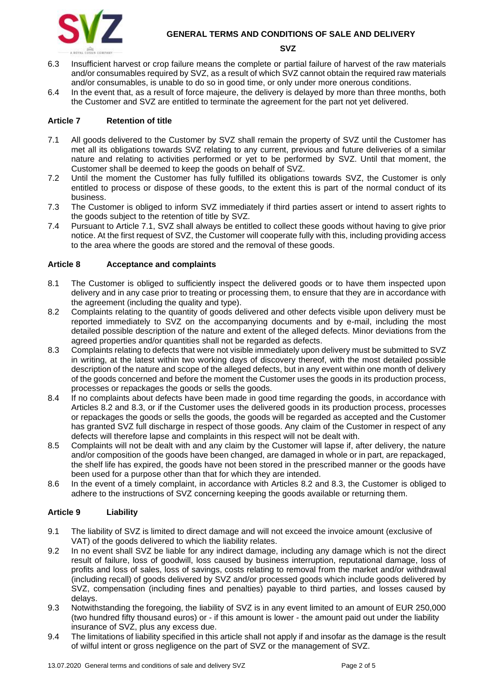

#### **GENERAL TERMS AND CONDITIONS OF SALE AND DELIVERY**

#### **SVZ**

- 6.3 Insufficient harvest or crop failure means the complete or partial failure of harvest of the raw materials and/or consumables required by SVZ, as a result of which SVZ cannot obtain the required raw materials and/or consumables, is unable to do so in good time, or only under more onerous conditions.
- 6.4 In the event that, as a result of force majeure, the delivery is delayed by more than three months, both the Customer and SVZ are entitled to terminate the agreement for the part not yet delivered.

### **Article 7 Retention of title**

- 7.1 All goods delivered to the Customer by SVZ shall remain the property of SVZ until the Customer has met all its obligations towards SVZ relating to any current, previous and future deliveries of a similar nature and relating to activities performed or yet to be performed by SVZ. Until that moment, the Customer shall be deemed to keep the goods on behalf of SVZ.
- 7.2 Until the moment the Customer has fully fulfilled its obligations towards SVZ, the Customer is only entitled to process or dispose of these goods, to the extent this is part of the normal conduct of its business.
- 7.3 The Customer is obliged to inform SVZ immediately if third parties assert or intend to assert rights to the goods subject to the retention of title by SVZ.
- 7.4 Pursuant to Article 7.1, SVZ shall always be entitled to collect these goods without having to give prior notice. At the first request of SVZ, the Customer will cooperate fully with this, including providing access to the area where the goods are stored and the removal of these goods.

#### **Article 8 Acceptance and complaints**

- 8.1 The Customer is obliged to sufficiently inspect the delivered goods or to have them inspected upon delivery and in any case prior to treating or processing them, to ensure that they are in accordance with the agreement (including the quality and type).
- 8.2 Complaints relating to the quantity of goods delivered and other defects visible upon delivery must be reported immediately to SVZ on the accompanying documents and by e-mail, including the most detailed possible description of the nature and extent of the alleged defects. Minor deviations from the agreed properties and/or quantities shall not be regarded as defects.
- 8.3 Complaints relating to defects that were not visible immediately upon delivery must be submitted to SVZ in writing, at the latest within two working days of discovery thereof, with the most detailed possible description of the nature and scope of the alleged defects, but in any event within one month of delivery of the goods concerned and before the moment the Customer uses the goods in its production process, processes or repackages the goods or sells the goods.
- 8.4 If no complaints about defects have been made in good time regarding the goods, in accordance with Articles 8.2 and 8.3, or if the Customer uses the delivered goods in its production process, processes or repackages the goods or sells the goods, the goods will be regarded as accepted and the Customer has granted SVZ full discharge in respect of those goods. Any claim of the Customer in respect of any defects will therefore lapse and complaints in this respect will not be dealt with.
- 8.5 Complaints will not be dealt with and any claim by the Customer will lapse if, after delivery, the nature and/or composition of the goods have been changed, are damaged in whole or in part, are repackaged, the shelf life has expired, the goods have not been stored in the prescribed manner or the goods have been used for a purpose other than that for which they are intended.
- 8.6 In the event of a timely complaint, in accordance with Articles 8.2 and 8.3, the Customer is obliged to adhere to the instructions of SVZ concerning keeping the goods available or returning them.

## **Article 9 Liability**

- 9.1 The liability of SVZ is limited to direct damage and will not exceed the invoice amount (exclusive of VAT) of the goods delivered to which the liability relates.
- 9.2 In no event shall SVZ be liable for any indirect damage, including any damage which is not the direct result of failure, loss of goodwill, loss caused by business interruption, reputational damage, loss of profits and loss of sales, loss of savings, costs relating to removal from the market and/or withdrawal (including recall) of goods delivered by SVZ and/or processed goods which include goods delivered by SVZ, compensation (including fines and penalties) payable to third parties, and losses caused by delays.
- 9.3 Notwithstanding the foregoing, the liability of SVZ is in any event limited to an amount of EUR 250,000 (two hundred fifty thousand euros) or - if this amount is lower - the amount paid out under the liability insurance of SVZ, plus any excess due.
- 9.4 The limitations of liability specified in this article shall not apply if and insofar as the damage is the result of wilful intent or gross negligence on the part of SVZ or the management of SVZ.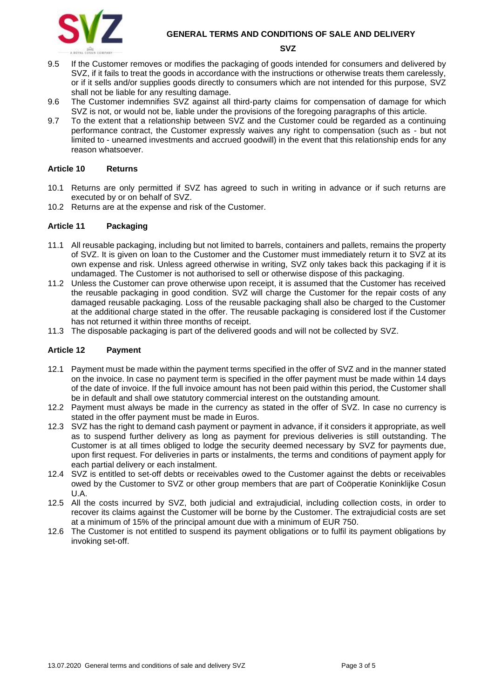

**GENERAL TERMS AND CONDITIONS OF SALE AND DELIVERY** 

**SVZ**

- 9.5 If the Customer removes or modifies the packaging of goods intended for consumers and delivered by SVZ, if it fails to treat the goods in accordance with the instructions or otherwise treats them carelessly, or if it sells and/or supplies goods directly to consumers which are not intended for this purpose, SVZ shall not be liable for any resulting damage.
- 9.6 The Customer indemnifies SVZ against all third-party claims for compensation of damage for which SVZ is not, or would not be, liable under the provisions of the foregoing paragraphs of this article.
- 9.7 To the extent that a relationship between SVZ and the Customer could be regarded as a continuing performance contract, the Customer expressly waives any right to compensation (such as - but not limited to - unearned investments and accrued goodwill) in the event that this relationship ends for any reason whatsoever.

## **Article 10 Returns**

- 10.1 Returns are only permitted if SVZ has agreed to such in writing in advance or if such returns are executed by or on behalf of SVZ.
- 10.2 Returns are at the expense and risk of the Customer.

#### **Article 11 Packaging**

- 11.1 All reusable packaging, including but not limited to barrels, containers and pallets, remains the property of SVZ. It is given on loan to the Customer and the Customer must immediately return it to SVZ at its own expense and risk. Unless agreed otherwise in writing, SVZ only takes back this packaging if it is undamaged. The Customer is not authorised to sell or otherwise dispose of this packaging.
- 11.2 Unless the Customer can prove otherwise upon receipt, it is assumed that the Customer has received the reusable packaging in good condition. SVZ will charge the Customer for the repair costs of any damaged reusable packaging. Loss of the reusable packaging shall also be charged to the Customer at the additional charge stated in the offer. The reusable packaging is considered lost if the Customer has not returned it within three months of receipt.
- 11.3 The disposable packaging is part of the delivered goods and will not be collected by SVZ.

#### **Article 12 Payment**

- 12.1 Payment must be made within the payment terms specified in the offer of SVZ and in the manner stated on the invoice. In case no payment term is specified in the offer payment must be made within 14 days of the date of invoice. If the full invoice amount has not been paid within this period, the Customer shall be in default and shall owe statutory commercial interest on the outstanding amount.
- 12.2 Payment must always be made in the currency as stated in the offer of SVZ. In case no currency is stated in the offer payment must be made in Euros.
- 12.3 SVZ has the right to demand cash payment or payment in advance, if it considers it appropriate, as well as to suspend further delivery as long as payment for previous deliveries is still outstanding. The Customer is at all times obliged to lodge the security deemed necessary by SVZ for payments due, upon first request. For deliveries in parts or instalments, the terms and conditions of payment apply for each partial delivery or each instalment.
- 12.4 SVZ is entitled to set-off debts or receivables owed to the Customer against the debts or receivables owed by the Customer to SVZ or other group members that are part of Coöperatie Koninklijke Cosun U.A.
- 12.5 All the costs incurred by SVZ, both judicial and extrajudicial, including collection costs, in order to recover its claims against the Customer will be borne by the Customer. The extrajudicial costs are set at a minimum of 15% of the principal amount due with a minimum of EUR 750.
- 12.6 The Customer is not entitled to suspend its payment obligations or to fulfil its payment obligations by invoking set-off.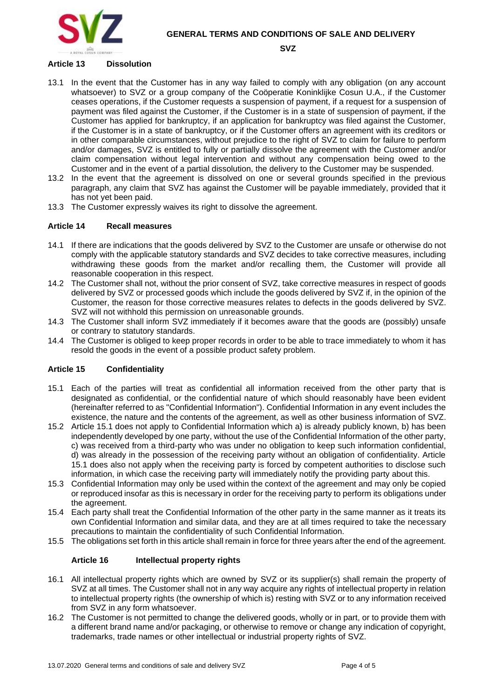



**SVZ**

## **Article 13 Dissolution**

- 13.1 In the event that the Customer has in any way failed to comply with any obligation (on any account whatsoever) to SVZ or a group company of the Coöperatie Koninklijke Cosun U.A., if the Customer ceases operations, if the Customer requests a suspension of payment, if a request for a suspension of payment was filed against the Customer, if the Customer is in a state of suspension of payment, if the Customer has applied for bankruptcy, if an application for bankruptcy was filed against the Customer, if the Customer is in a state of bankruptcy, or if the Customer offers an agreement with its creditors or in other comparable circumstances, without prejudice to the right of SVZ to claim for failure to perform and/or damages, SVZ is entitled to fully or partially dissolve the agreement with the Customer and/or claim compensation without legal intervention and without any compensation being owed to the Customer and in the event of a partial dissolution, the delivery to the Customer may be suspended.
- 13.2 In the event that the agreement is dissolved on one or several grounds specified in the previous paragraph, any claim that SVZ has against the Customer will be payable immediately, provided that it has not yet been paid.
- 13.3 The Customer expressly waives its right to dissolve the agreement.

# **Article 14 Recall measures**

- 14.1 If there are indications that the goods delivered by SVZ to the Customer are unsafe or otherwise do not comply with the applicable statutory standards and SVZ decides to take corrective measures, including withdrawing these goods from the market and/or recalling them, the Customer will provide all reasonable cooperation in this respect.
- 14.2 The Customer shall not, without the prior consent of SVZ, take corrective measures in respect of goods delivered by SVZ or processed goods which include the goods delivered by SVZ if, in the opinion of the Customer, the reason for those corrective measures relates to defects in the goods delivered by SVZ. SVZ will not withhold this permission on unreasonable grounds.
- 14.3 The Customer shall inform SVZ immediately if it becomes aware that the goods are (possibly) unsafe or contrary to statutory standards.
- 14.4 The Customer is obliged to keep proper records in order to be able to trace immediately to whom it has resold the goods in the event of a possible product safety problem.

## **Article 15 Confidentiality**

- 15.1 Each of the parties will treat as confidential all information received from the other party that is designated as confidential, or the confidential nature of which should reasonably have been evident (hereinafter referred to as "Confidential Information"). Confidential Information in any event includes the existence, the nature and the contents of the agreement, as well as other business information of SVZ.
- 15.2 Article 15.1 does not apply to Confidential Information which a) is already publicly known, b) has been independently developed by one party, without the use of the Confidential Information of the other party, c) was received from a third-party who was under no obligation to keep such information confidential, d) was already in the possession of the receiving party without an obligation of confidentiality. Article 15.1 does also not apply when the receiving party is forced by competent authorities to disclose such information, in which case the receiving party will immediately notify the providing party about this.
- 15.3 Confidential Information may only be used within the context of the agreement and may only be copied or reproduced insofar as this is necessary in order for the receiving party to perform its obligations under the agreement.
- 15.4 Each party shall treat the Confidential Information of the other party in the same manner as it treats its own Confidential Information and similar data, and they are at all times required to take the necessary precautions to maintain the confidentiality of such Confidential Information.
- 15.5 The obligations set forth in this article shall remain in force for three years after the end of the agreement.

## **Article 16 Intellectual property rights**

- 16.1 All intellectual property rights which are owned by SVZ or its supplier(s) shall remain the property of SVZ at all times. The Customer shall not in any way acquire any rights of intellectual property in relation to intellectual property rights (the ownership of which is) resting with SVZ or to any information received from SVZ in any form whatsoever.
- 16.2 The Customer is not permitted to change the delivered goods, wholly or in part, or to provide them with a different brand name and/or packaging, or otherwise to remove or change any indication of copyright, trademarks, trade names or other intellectual or industrial property rights of SVZ.